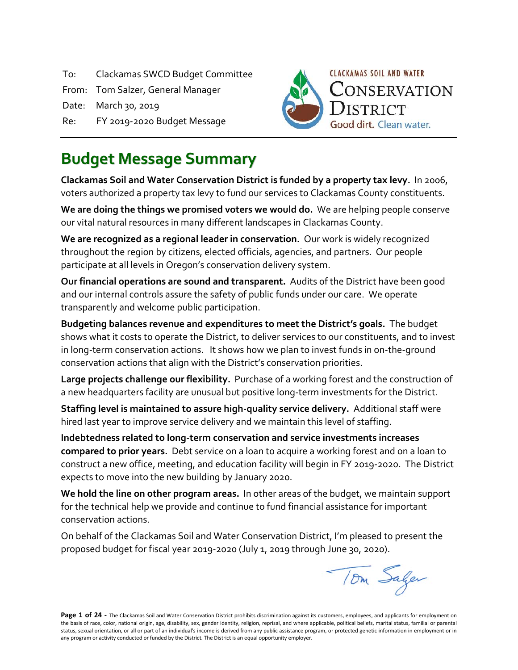To: Clackamas SWCD Budget Committee

From: Tom Salzer, General Manager

Date: March 30, 2019

Re: FY 2019-2020 Budget Message



# **Budget Message Summary**

**Clackamas Soil and Water Conservation District is funded by a property tax levy.** In 2006, voters authorized a property tax levy to fund our services to Clackamas County constituents.

**We are doing the things we promised voters we would do.** We are helping people conserve our vital natural resources in many different landscapes in Clackamas County.

**We are recognized as a regional leader in conservation.** Our work is widely recognized throughout the region by citizens, elected officials, agencies, and partners. Our people participate at all levels in Oregon's conservation delivery system.

**Our financial operations are sound and transparent.** Audits of the District have been good and our internal controls assure the safety of public funds under our care. We operate transparently and welcome public participation.

**Budgeting balances revenue and expenditures to meet the District's goals.** The budget shows what it costs to operate the District, to deliver services to our constituents, and to invest in long-term conservation actions. It shows how we plan to invest funds in on-the-ground conservation actions that align with the District's conservation priorities.

**Large projects challenge our flexibility.** Purchase of a working forest and the construction of a new headquarters facility are unusual but positive long-term investments for the District.

**Staffing level is maintained to assure high-quality service delivery.** Additional staff were hired last year to improve service delivery and we maintain this level of staffing.

**Indebtedness related to long-term conservation and service investments increases compared to prior years.** Debt service on a loan to acquire a working forest and on a loan to construct a new office, meeting, and education facility will begin in FY 2019-2020. The District expects to move into the new building by January 2020.

**We hold the line on other program areas.** In other areas of the budget, we maintain support for the technical help we provide and continue to fund financial assistance for important conservation actions.

On behalf of the Clackamas Soil and Water Conservation District, I'm pleased to present the proposed budget for fiscal year 2019-2020 (July 1, 2019 through June 30, 2020).

Tom Saler

Page 1 of 24 - The Clackamas Soil and Water Conservation District prohibits discrimination against its customers, employees, and applicants for employment on the basis of race, color, national origin, age, disability, sex, gender identity, religion, reprisal, and where applicable, political beliefs, marital status, familial or parental status, sexual orientation, or all or part of an individual's income is derived from any public assistance program, or protected genetic information in employment or in any program or activity conducted or funded by the District. The District is an equal opportunity employer.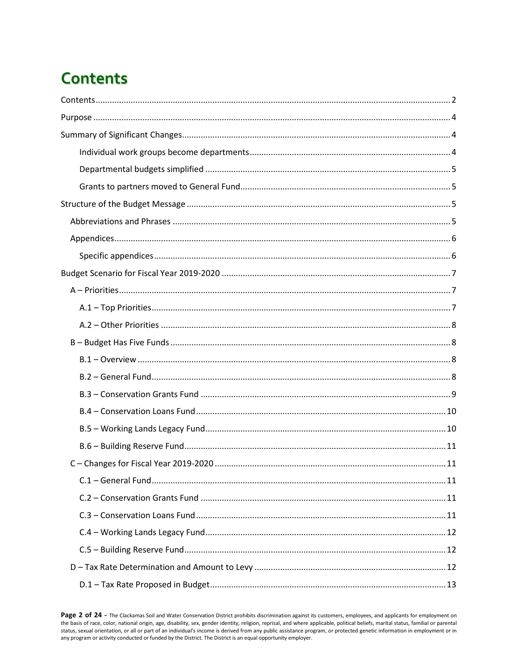# <span id="page-1-0"></span>**Contents**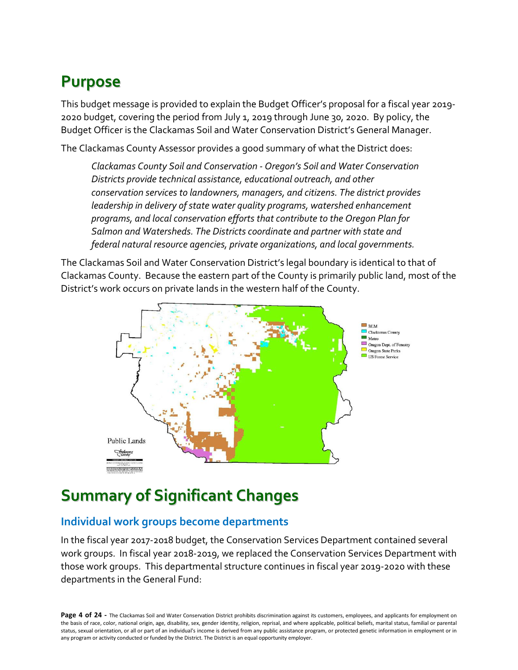# <span id="page-3-0"></span>**Purpose**

This budget message is provided to explain the Budget Officer's proposal for a fiscal year 2019- 2020 budget, covering the period from July 1, 2019 through June 30, 2020. By policy, the Budget Officer is the Clackamas Soil and Water Conservation District's General Manager.

The Clackamas County Assessor provides a good summary of what the District does:

*Clackamas County Soil and Conservation - Oregon's Soil and Water Conservation Districts provide technical assistance, educational outreach, and other conservation services to landowners, managers, and citizens. The district provides leadership in delivery of state water quality programs, watershed enhancement programs, and local conservation efforts that contribute to the Oregon Plan for Salmon and Watersheds. The Districts coordinate and partner with state and federal natural resource agencies, private organizations, and local governments.*

The Clackamas Soil and Water Conservation District's legal boundary is identical to that of Clackamas County. Because the eastern part of the County is primarily public land, most of the District's work occurs on private lands in the western half of the County.



# <span id="page-3-1"></span>**Summary of Significant Changes**

## <span id="page-3-2"></span>**Individual work groups become departments**

In the fiscal year 2017-2018 budget, the Conservation Services Department contained several work groups. In fiscal year 2018-2019, we replaced the Conservation Services Department with those work groups. This departmental structure continues in fiscal year 2019-2020 with these departments in the General Fund:

Page 4 of 24 - The Clackamas Soil and Water Conservation District prohibits discrimination against its customers, employees, and applicants for employment on the basis of race, color, national origin, age, disability, sex, gender identity, religion, reprisal, and where applicable, political beliefs, marital status, familial or parental status, sexual orientation, or all or part of an individual's income is derived from any public assistance program, or protected genetic information in employment or in any program or activity conducted or funded by the District. The District is an equal opportunity employer.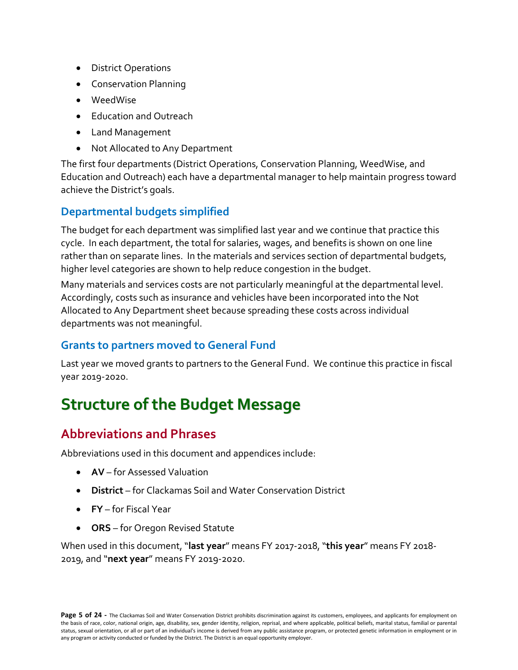- District Operations
- Conservation Planning
- WeedWise
- Education and Outreach
- Land Management
- Not Allocated to Any Department

The first four departments (District Operations, Conservation Planning, WeedWise, and Education and Outreach) each have a departmental manager to help maintain progress toward achieve the District's goals.

### <span id="page-4-0"></span>**Departmental budgets simplified**

The budget for each department was simplified last year and we continue that practice this cycle. In each department, the total for salaries, wages, and benefits is shown on one line rather than on separate lines. In the materials and services section of departmental budgets, higher level categories are shown to help reduce congestion in the budget.

Many materials and services costs are not particularly meaningful at the departmental level. Accordingly, costs such as insurance and vehicles have been incorporated into the Not Allocated to Any Department sheet because spreading these costs across individual departments was not meaningful.

#### <span id="page-4-1"></span>**Grants to partners moved to General Fund**

Last year we moved grants to partners to the General Fund. We continue this practice in fiscal year 2019-2020.

# <span id="page-4-2"></span>**Structure of the Budget Message**

# <span id="page-4-3"></span>**Abbreviations and Phrases**

Abbreviations used in this document and appendices include:

- **AV** for Assessed Valuation
- **District** for Clackamas Soil and Water Conservation District
- **FY** for Fiscal Year
- **ORS** for Oregon Revised Statute

When used in this document, "**last year**" means FY 2017-2018, "**this year**" means FY 2018- 2019, and "**next year**" means FY 2019-2020.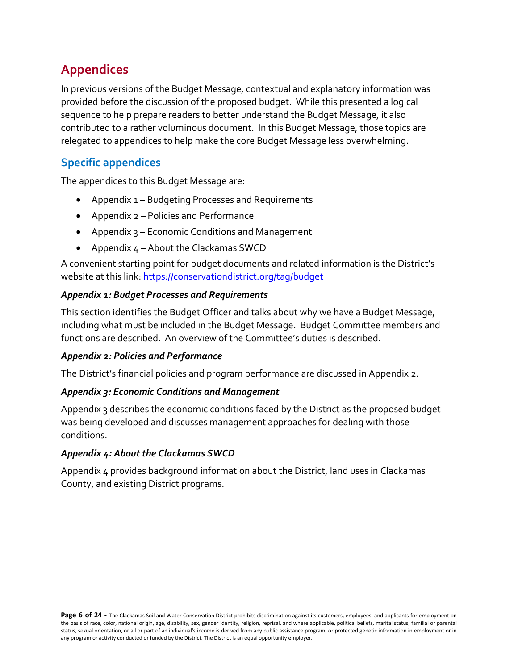# <span id="page-5-0"></span>**Appendices**

In previous versions of the Budget Message, contextual and explanatory information was provided before the discussion of the proposed budget. While this presented a logical sequence to help prepare readers to better understand the Budget Message, it also contributed to a rather voluminous document. In this Budget Message, those topics are relegated to appendices to help make the core Budget Message less overwhelming.

# <span id="page-5-1"></span>**Specific appendices**

The appendices to this Budget Message are:

- Appendix 1 Budgeting Processes and Requirements
- Appendix 2 Policies and Performance
- Appendix 3 Economic Conditions and Management
- Appendix 4 About the Clackamas SWCD

A convenient starting point for budget documents and related information is the District's website at this link[: https://conservationdistrict.org/tag/budget](https://conservationdistrict.org/tag/budget)

#### *Appendix 1: Budget Processes and Requirements*

This section identifies the Budget Officer and talks about why we have a Budget Message, including what must be included in the Budget Message. Budget Committee members and functions are described. An overview of the Committee's duties is described.

#### *Appendix 2: Policies and Performance*

The District's financial policies and program performance are discussed in Appendix 2.

#### *Appendix 3: Economic Conditions and Management*

Appendix 3 describes the economic conditions faced by the District as the proposed budget was being developed and discusses management approaches for dealing with those conditions.

#### *Appendix 4: About the Clackamas SWCD*

Appendix 4 provides background information about the District, land uses in Clackamas County, and existing District programs.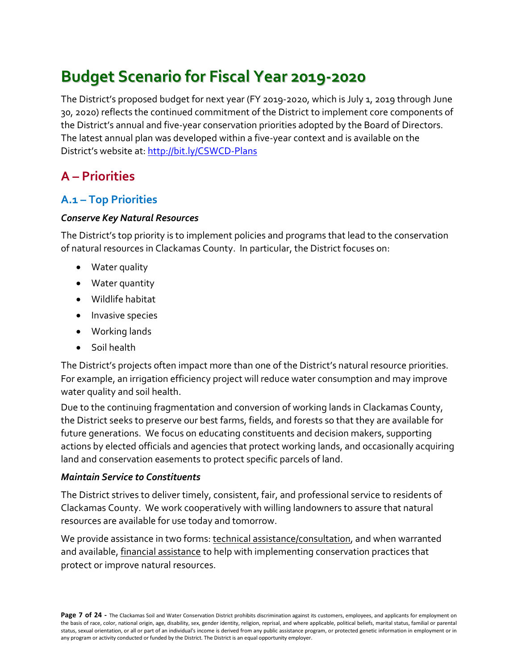# <span id="page-6-0"></span>**Budget Scenario for Fiscal Year 2019-2020**

The District's proposed budget for next year (FY 2019-2020, which is July 1, 2019 through June 30, 2020) reflects the continued commitment of the District to implement core components of the District's annual and five-year conservation priorities adopted by the Board of Directors. The latest annual plan was developed within a five-year context and is available on the District's website at[: http://bit.ly/CSWCD-Plans](http://bit.ly/CSWCD-Plans)

# <span id="page-6-1"></span>**A – Priorities**

## <span id="page-6-2"></span>**A.1 – Top Priorities**

#### *Conserve Key Natural Resources*

The District's top priority is to implement policies and programs that lead to the conservation of natural resources in Clackamas County. In particular, the District focuses on:

- Water quality
- Water quantity
- Wildlife habitat
- Invasive species
- Working lands
- Soil health

The District's projects often impact more than one of the District's natural resource priorities. For example, an irrigation efficiency project will reduce water consumption and may improve water quality and soil health.

Due to the continuing fragmentation and conversion of working lands in Clackamas County, the District seeks to preserve our best farms, fields, and forests so that they are available for future generations. We focus on educating constituents and decision makers, supporting actions by elected officials and agencies that protect working lands, and occasionally acquiring land and conservation easements to protect specific parcels of land.

#### *Maintain Service to Constituents*

The District strives to deliver timely, consistent, fair, and professional service to residents of Clackamas County. We work cooperatively with willing landowners to assure that natural resources are available for use today and tomorrow.

We provide assistance in two forms: technical assistance/consultation, and when warranted and available, financial assistance to help with implementing conservation practices that protect or improve natural resources.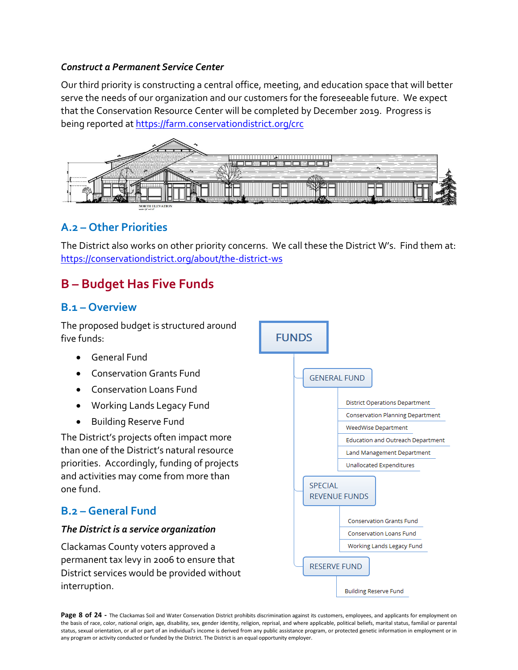#### *Construct a Permanent Service Center*

Our third priority is constructing a central office, meeting, and education space that will better serve the needs of our organization and our customers for the foreseeable future. We expect that the Conservation Resource Center will be completed by December 2019. Progress is being reported a[t https://farm.conservationdistrict.org/crc](https://farm.conservationdistrict.org/crc) 



# <span id="page-7-0"></span>**A.2 – Other Priorities**

The District also works on other priority concerns. We call these the District W's. Find them at: <https://conservationdistrict.org/about/the-district-ws>

# <span id="page-7-1"></span>**B – Budget Has Five Funds**

#### <span id="page-7-2"></span>**B.1 – Overview**

The proposed budget is structured around five funds:

- General Fund
- Conservation Grants Fund
- Conservation Loans Fund
- Working Lands Legacy Fund
- Building Reserve Fund

The District's projects often impact more than one of the District's natural resource priorities. Accordingly, funding of projects and activities may come from more than one fund.

## <span id="page-7-3"></span>**B.2 – General Fund**

#### *The District is a service organization*

Clackamas County voters approved a permanent tax levy in 2006 to ensure that District services would be provided without interruption.



Page 8 of 24 - The Clackamas Soil and Water Conservation District prohibits discrimination against its customers, employees, and applicants for employment on the basis of race, color, national origin, age, disability, sex, gender identity, religion, reprisal, and where applicable, political beliefs, marital status, familial or parental status, sexual orientation, or all or part of an individual's income is derived from any public assistance program, or protected genetic information in employment or in any program or activity conducted or funded by the District. The District is an equal opportunity employer.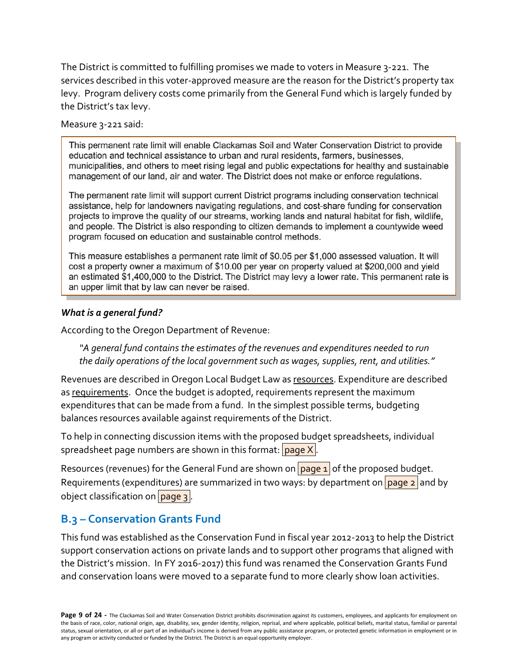The District is committed to fulfilling promises we made to voters in Measure 3-221. The services described in this voter-approved measure are the reason for the District's property tax levy. Program delivery costs come primarily from the General Fund which is largely funded by the District's tax levy.

#### Measure 3-221 said:

This permanent rate limit will enable Clackamas Soil and Water Conservation District to provide education and technical assistance to urban and rural residents, farmers, businesses, municipalities, and others to meet rising legal and public expectations for healthy and sustainable management of our land, air and water. The District does not make or enforce regulations.

The permanent rate limit will support current District programs including conservation technical assistance, help for landowners navigating regulations, and cost-share funding for conservation projects to improve the quality of our streams, working lands and natural habitat for fish, wildlife, and people. The District is also responding to citizen demands to implement a countywide weed program focused on education and sustainable control methods.

This measure establishes a permanent rate limit of \$0.05 per \$1,000 assessed valuation. It will cost a property owner a maximum of \$10.00 per year on property valued at \$200,000 and yield an estimated \$1,400,000 to the District. The District may levy a lower rate. This permanent rate is an upper limit that by law can never be raised.

#### *What is a general fund?*

According to the Oregon Department of Revenue:

*"A general fund contains the estimates of the revenues and expenditures needed to run the daily operations of the local government such as wages, supplies, rent, and utilities."*

Revenues are described in Oregon Local Budget Law as resources. Expenditure are described as requirements. Once the budget is adopted, requirements represent the maximum expenditures that can be made from a fund. In the simplest possible terms, budgeting balances resources available against requirements of the District.

To help in connecting discussion items with the proposed budget spreadsheets, individual spreadsheet page numbers are shown in this format:  $\frac{1}{2}$  page X.

Resources (revenues) for the General Fund are shown on  $\sqrt{p_{\text{age 1}}}$  of the proposed budget. Requirements (expenditures) are summarized in two ways: by department on page  $2$  and by object classification on  $page 3$ .

#### <span id="page-8-0"></span>**B.3 – Conservation Grants Fund**

This fund was established as the Conservation Fund in fiscal year 2012-2013 to help the District support conservation actions on private lands and to support other programs that aligned with the District's mission. In FY 2016-2017) this fund was renamed the Conservation Grants Fund and conservation loans were moved to a separate fund to more clearly show loan activities.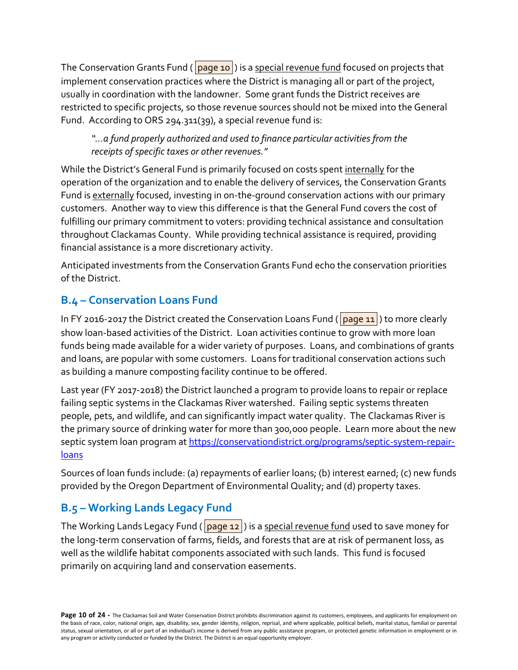The Conservation Grants Fund ( $\vert$ page 10) is a special revenue fund focused on projects that implement conservation practices where the District is managing all or part of the project, usually in coordination with the landowner. Some grant funds the District receives are restricted to specific projects, so those revenue sources should not be mixed into the General Fund. According to ORS 294.311(39), a special revenue fund is:

*"…a fund properly authorized and used to finance particular activities from the receipts of specific taxes or other revenues."* 

While the District's General Fund is primarily focused on costs spent internally for the operation of the organization and to enable the delivery of services, the Conservation Grants Fund is externally focused, investing in on-the-ground conservation actions with our primary customers. Another way to view this difference is that the General Fund covers the cost of fulfilling our primary commitment to voters: providing technical assistance and consultation throughout Clackamas County. While providing technical assistance is required, providing financial assistance is a more discretionary activity.

Anticipated investments from the Conservation Grants Fund echo the conservation priorities of the District.

# <span id="page-9-0"></span>**B.4 – Conservation Loans Fund**

In FY 2016-2017 the District created the Conservation Loans Fund ( page 11) to more clearly show loan-based activities of the District. Loan activities continue to grow with more loan funds being made available for a wider variety of purposes. Loans, and combinations of grants and loans, are popular with some customers. Loans for traditional conservation actions such as building a manure composting facility continue to be offered.

Last year (FY 2017-2018) the District launched a program to provide loans to repair or replace failing septic systems in the Clackamas River watershed. Failing septic systems threaten people, pets, and wildlife, and can significantly impact water quality. The Clackamas River is the primary source of drinking water for more than 300,000 people. Learn more about the new septic system loan program at [https://conservationdistrict.org/programs/septic-system-repair](https://conservationdistrict.org/programs/septic-system-repair-loans)[loans](https://conservationdistrict.org/programs/septic-system-repair-loans)

Sources of loan funds include: (a) repayments of earlier loans; (b) interest earned; (c) new funds provided by the Oregon Department of Environmental Quality; and (d) property taxes.

# <span id="page-9-1"></span>**B.5 – Working Lands Legacy Fund**

The Working Lands Legacy Fund ( $\sqrt{$  page 12) is a special revenue fund used to save money for the long-term conservation of farms, fields, and forests that are at risk of permanent loss, as well as the wildlife habitat components associated with such lands. This fund is focused primarily on acquiring land and conservation easements.

Page 10 of 24 - The Clackamas Soil and Water Conservation District prohibits discrimination against its customers, employees, and applicants for employment on the basis of race, color, national origin, age, disability, sex, gender identity, religion, reprisal, and where applicable, political beliefs, marital status, familial or parental status, sexual orientation, or all or part of an individual's income is derived from any public assistance program, or protected genetic information in employment or in any program or activity conducted or funded by the District. The District is an equal opportunity employer.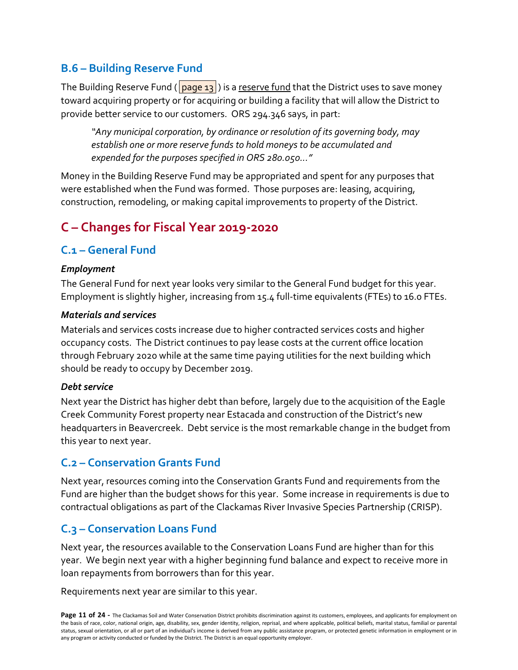# <span id="page-10-0"></span>**B.6 – Building Reserve Fund**

The Building Reserve Fund ( $\sqrt{$ page 13 $\sqrt{ }$ ) is a reserve fund that the District uses to save money toward acquiring property or for acquiring or building a facility that will allow the District to provide better service to our customers. ORS 294.346 says, in part:

*"Any municipal corporation, by ordinance or resolution of its governing body, may establish one or more reserve funds to hold moneys to be accumulated and expended for the purposes specified in ORS 280.050..."*

Money in the Building Reserve Fund may be appropriated and spent for any purposes that were established when the Fund was formed. Those purposes are: leasing, acquiring, construction, remodeling, or making capital improvements to property of the District.

# <span id="page-10-1"></span>**C – Changes for Fiscal Year 2019-2020**

## <span id="page-10-2"></span>**C.1 – General Fund**

#### *Employment*

The General Fund for next year looks very similar to the General Fund budget for this year. Employment is slightly higher, increasing from 15.4 full-time equivalents (FTEs) to 16.0 FTEs.

#### *Materials and services*

Materials and services costs increase due to higher contracted services costs and higher occupancy costs. The District continues to pay lease costs at the current office location through February 2020 while at the same time paying utilities for the next building which should be ready to occupy by December 2019.

#### *Debt service*

Next year the District has higher debt than before, largely due to the acquisition of the Eagle Creek Community Forest property near Estacada and construction of the District's new headquarters in Beavercreek. Debt service is the most remarkable change in the budget from this year to next year.

#### <span id="page-10-3"></span>**C.2 – Conservation Grants Fund**

Next year, resources coming into the Conservation Grants Fund and requirements from the Fund are higher than the budget shows for this year. Some increase in requirements is due to contractual obligations as part of the Clackamas River Invasive Species Partnership (CRISP).

## <span id="page-10-4"></span>**C.3 – Conservation Loans Fund**

Next year, the resources available to the Conservation Loans Fund are higher than for this year. We begin next year with a higher beginning fund balance and expect to receive more in loan repayments from borrowers than for this year.

Requirements next year are similar to this year.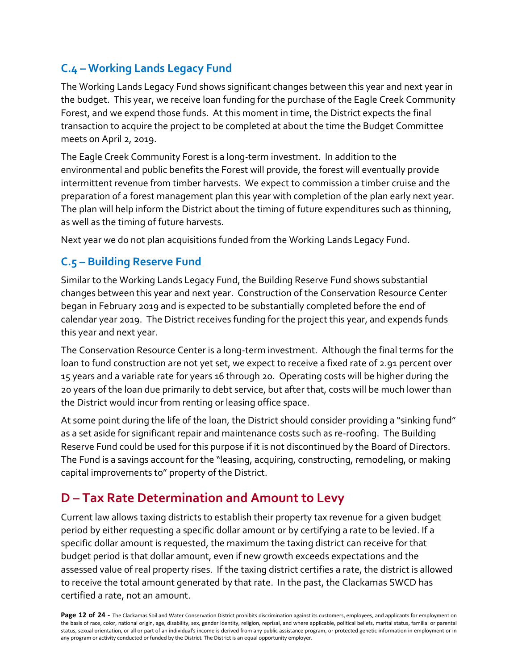# <span id="page-11-0"></span>**C.4 – Working Lands Legacy Fund**

The Working Lands Legacy Fund shows significant changes between this year and next year in the budget. This year, we receive loan funding for the purchase of the Eagle Creek Community Forest, and we expend those funds. At this moment in time, the District expects the final transaction to acquire the project to be completed at about the time the Budget Committee meets on April 2, 2019.

The Eagle Creek Community Forest is a long-term investment. In addition to the environmental and public benefits the Forest will provide, the forest will eventually provide intermittent revenue from timber harvests. We expect to commission a timber cruise and the preparation of a forest management plan this year with completion of the plan early next year. The plan will help inform the District about the timing of future expenditures such as thinning, as well as the timing of future harvests.

Next year we do not plan acquisitions funded from the Working Lands Legacy Fund.

## <span id="page-11-1"></span>**C.5 – Building Reserve Fund**

Similar to the Working Lands Legacy Fund, the Building Reserve Fund shows substantial changes between this year and next year. Construction of the Conservation Resource Center began in February 2019 and is expected to be substantially completed before the end of calendar year 2019. The District receives funding for the project this year, and expends funds this year and next year.

The Conservation Resource Center is a long-term investment. Although the final terms for the loan to fund construction are not yet set, we expect to receive a fixed rate of 2.91 percent over 15 years and a variable rate for years 16 through 20. Operating costs will be higher during the 20 years of the loan due primarily to debt service, but after that, costs will be much lower than the District would incur from renting or leasing office space.

At some point during the life of the loan, the District should consider providing a "sinking fund" as a set aside for significant repair and maintenance costs such as re-roofing. The Building Reserve Fund could be used for this purpose if it is not discontinued by the Board of Directors. The Fund is a savings account for the "leasing, acquiring, constructing, remodeling, or making capital improvements to" property of the District.

# <span id="page-11-2"></span>**D – Tax Rate Determination and Amount to Levy**

Current law allows taxing districts to establish their property tax revenue for a given budget period by either requesting a specific dollar amount or by certifying a rate to be levied. If a specific dollar amount is requested, the maximum the taxing district can receive for that budget period is that dollar amount, even if new growth exceeds expectations and the assessed value of real property rises. If the taxing district certifies a rate, the district is allowed to receive the total amount generated by that rate. In the past, the Clackamas SWCD has certified a rate, not an amount.

Page 12 of 24 - The Clackamas Soil and Water Conservation District prohibits discrimination against its customers, employees, and applicants for employment on the basis of race, color, national origin, age, disability, sex, gender identity, religion, reprisal, and where applicable, political beliefs, marital status, familial or parental status, sexual orientation, or all or part of an individual's income is derived from any public assistance program, or protected genetic information in employment or in any program or activity conducted or funded by the District. The District is an equal opportunity employer.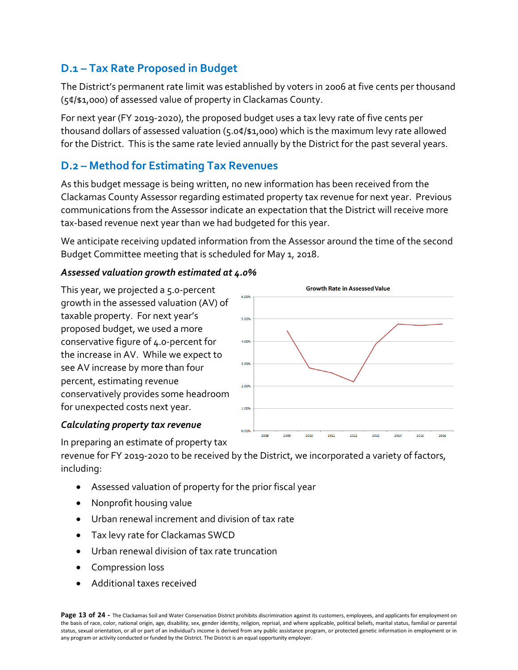# <span id="page-12-0"></span>**D.1 – Tax Rate Proposed in Budget**

The District's permanent rate limit was established by voters in 2006 at five cents per thousand (5¢/\$1,000) of assessed value of property in Clackamas County.

For next year (FY 2019-2020), the proposed budget uses a tax levy rate of five cents per thousand dollars of assessed valuation (5.0¢/\$1,000) which is the maximum levy rate allowed for the District. This is the same rate levied annually by the District for the past several years.

## <span id="page-12-1"></span>**D.2 – Method for Estimating Tax Revenues**

As this budget message is being written, no new information has been received from the Clackamas County Assessor regarding estimated property tax revenue for next year. Previous communications from the Assessor indicate an expectation that the District will receive more tax-based revenue next year than we had budgeted for this year.

We anticipate receiving updated information from the Assessor around the time of the second Budget Committee meeting that is scheduled for May 1, 2018.

#### *Assessed valuation growth estimated at 4.0%*

This year, we projected a 5.0-percent growth in the assessed valuation (AV) of taxable property. For next year's proposed budget, we used a more conservative figure of 4.0-percent for the increase in AV. While we expect to see AV increase by more than four percent, estimating revenue conservatively provides some headroom for unexpected costs next year.

#### *Calculating property tax revenue*



In preparing an estimate of property tax

revenue for FY 2019-2020 to be received by the District, we incorporated a variety of factors, including:

- Assessed valuation of property for the prior fiscal year
- Nonprofit housing value
- Urban renewal increment and division of tax rate
- Tax levy rate for Clackamas SWCD
- Urban renewal division of tax rate truncation
- Compression loss
- Additional taxes received

Page 13 of 24 - The Clackamas Soil and Water Conservation District prohibits discrimination against its customers, employees, and applicants for employment on the basis of race, color, national origin, age, disability, sex, gender identity, religion, reprisal, and where applicable, political beliefs, marital status, familial or parental status, sexual orientation, or all or part of an individual's income is derived from any public assistance program, or protected genetic information in employment or in any program or activity conducted or funded by the District. The District is an equal opportunity employer.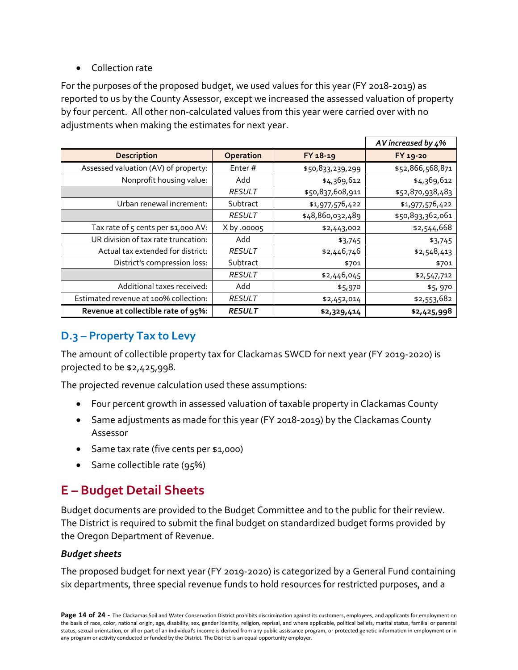#### • Collection rate

For the purposes of the proposed budget, we used values for this year (FY 2018-2019) as reported to us by the County Assessor, except we increased the assessed valuation of property by four percent. All other non-calculated values from this year were carried over with no adjustments when making the estimates for next year.

|                                       |               |                  | AV increased by 4% |
|---------------------------------------|---------------|------------------|--------------------|
| <b>Description</b>                    | Operation     | FY 18-19         | FY 19-20           |
| Assessed valuation (AV) of property:  | Enter#        | \$50,833,239,299 | \$52,866,568,871   |
| Nonprofit housing value:              | Add           | \$4,369,612      | \$4,369,612        |
|                                       | <b>RESULT</b> | \$50,837,608,911 | \$52,870,938,483   |
| Urban renewal increment:              | Subtract      | \$1,977,576,422  | \$1,977,576,422    |
|                                       | <b>RESULT</b> | \$48,860,032,489 | \$50,893,362,061   |
| Tax rate of 5 cents per \$1,000 AV:   | $X$ by .00005 | \$2,443,002      | \$2,544,668        |
| UR division of tax rate truncation:   | Add           | \$3,745          | \$3,745            |
| Actual tax extended for district:     | <b>RESULT</b> | \$2,446,746      | \$2,548,413        |
| District's compression loss:          | Subtract      | \$701            | \$701              |
|                                       | <b>RESULT</b> | \$2,446,045      | \$2,547,712        |
| Additional taxes received:            | Add           | \$5,970          | \$5,970            |
| Estimated revenue at 100% collection: | <b>RESULT</b> | \$2,452,014      | \$2,553,682        |
| Revenue at collectible rate of 95%:   | <b>RESULT</b> | \$2,329,414      | \$2,425,998        |

# <span id="page-13-0"></span>**D.3 – Property Tax to Levy**

The amount of collectible property tax for Clackamas SWCD for next year (FY 2019-2020) is projected to be \$2,425,998.

The projected revenue calculation used these assumptions:

- Four percent growth in assessed valuation of taxable property in Clackamas County
- Same adjustments as made for this year (FY 2018-2019) by the Clackamas County Assessor
- Same tax rate (five cents per \$1,000)
- Same collectible rate (95%)

# <span id="page-13-1"></span>**E – Budget Detail Sheets**

Budget documents are provided to the Budget Committee and to the public for their review. The District is required to submit the final budget on standardized budget forms provided by the Oregon Department of Revenue.

#### *Budget sheets*

The proposed budget for next year (FY 2019-2020) is categorized by a General Fund containing six departments, three special revenue funds to hold resources for restricted purposes, and a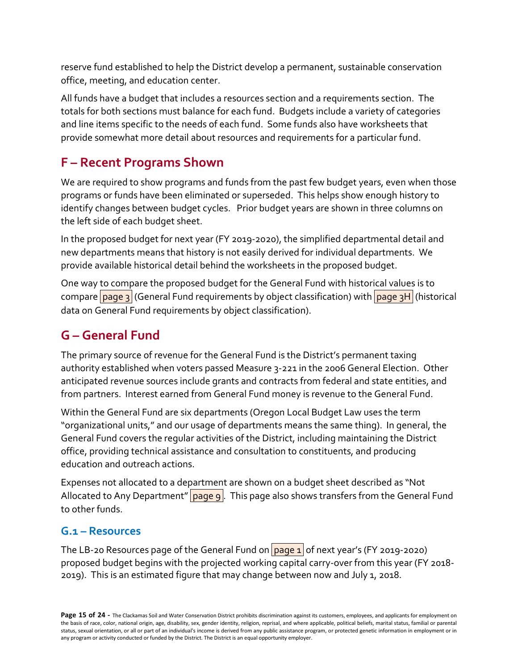reserve fund established to help the District develop a permanent, sustainable conservation office, meeting, and education center.

All funds have a budget that includes a resources section and a requirements section. The totals for both sections must balance for each fund. Budgets include a variety of categories and line items specific to the needs of each fund. Some funds also have worksheets that provide somewhat more detail about resources and requirements for a particular fund.

# <span id="page-14-0"></span>**F – Recent Programs Shown**

We are required to show programs and funds from the past few budget years, even when those programs or funds have been eliminated or superseded. This helps show enough history to identify changes between budget cycles. Prior budget years are shown in three columns on the left side of each budget sheet.

In the proposed budget for next year (FY 2019-2020), the simplified departmental detail and new departments means that history is not easily derived for individual departments. We provide available historical detail behind the worksheets in the proposed budget.

One way to compare the proposed budget for the General Fund with historical values is to compare page 3 (General Fund requirements by object classification) with page 3H (historical data on General Fund requirements by object classification).

# <span id="page-14-1"></span>**G – General Fund**

The primary source of revenue for the General Fund is the District's permanent taxing authority established when voters passed Measure 3-221 in the 2006 General Election. Other anticipated revenue sources include grants and contracts from federal and state entities, and from partners. Interest earned from General Fund money is revenue to the General Fund.

Within the General Fund are six departments (Oregon Local Budget Law uses the term "organizational units," and our usage of departments means the same thing). In general, the General Fund covers the regular activities of the District, including maintaining the District office, providing technical assistance and consultation to constituents, and producing education and outreach actions.

Expenses not allocated to a department are shown on a budget sheet described as "Not Allocated to Any Department"  $\vert$  page  $\vert$ . This page also shows transfers from the General Fund to other funds.

## <span id="page-14-2"></span>**G.1 – Resources**

The LB-20 Resources page of the General Fund on  $\sqrt{page 1}$  of next year's (FY 2019-2020) proposed budget begins with the projected working capital carry-over from this year (FY 2018- 2019). This is an estimated figure that may change between now and July 1, 2018.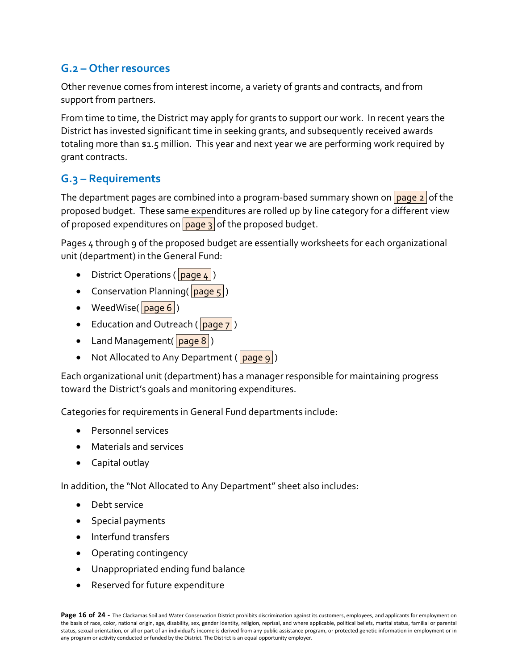## <span id="page-15-0"></span>**G.2 – Other resources**

Other revenue comes from interest income, a variety of grants and contracts, and from support from partners.

From time to time, the District may apply for grants to support our work. In recent years the District has invested significant time in seeking grants, and subsequently received awards totaling more than \$1.5 million. This year and next year we are performing work required by grant contracts.

## <span id="page-15-1"></span>**G.3 – Requirements**

The department pages are combined into a program-based summary shown on  $\sqrt{p_{\text{age 2}}}$  of the proposed budget. These same expenditures are rolled up by line category for a different view of proposed expenditures on  $\sqrt{p_{\text{age 3}}}$  of the proposed budget.

Pages 4 through 9 of the proposed budget are essentially worksheets for each organizational unit (department) in the General Fund:

- District Operations ( $\vert$  page 4)
- Conservation Planning( page 5)
- WeedWise( $\boxed{\text{page 6}}$ )
- Education and Outreach ( $\lceil \text{page 7} \rceil$ )
- Land Management( $\sqrt{page 8}$ )
- Not Allocated to Any Department (page 9)

Each organizational unit (department) has a manager responsible for maintaining progress toward the District's goals and monitoring expenditures.

Categories for requirements in General Fund departments include:

- Personnel services
- Materials and services
- Capital outlay

In addition, the "Not Allocated to Any Department" sheet also includes:

- Debt service
- Special payments
- Interfund transfers
- Operating contingency
- Unappropriated ending fund balance
- Reserved for future expenditure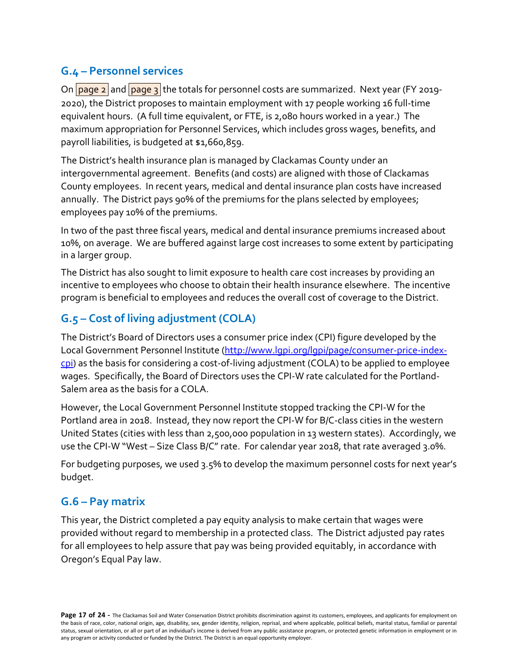# <span id="page-16-0"></span>**G.4 – Personnel services**

On  $\frac{1}{\sqrt{2}}$  and  $\frac{1}{\sqrt{2}}$  and  $\frac{1}{\sqrt{2}}$  the totals for personnel costs are summarized. Next year (FY 2019-2020), the District proposes to maintain employment with 17 people working 16 full-time equivalent hours. (A full time equivalent, or FTE, is 2,080 hours worked in a year.) The maximum appropriation for Personnel Services, which includes gross wages, benefits, and payroll liabilities, is budgeted at \$1,660,859.

The District's health insurance plan is managed by Clackamas County under an intergovernmental agreement. Benefits (and costs) are aligned with those of Clackamas County employees. In recent years, medical and dental insurance plan costs have increased annually. The District pays 90% of the premiums for the plans selected by employees; employees pay 10% of the premiums.

In two of the past three fiscal years, medical and dental insurance premiums increased about 10%, on average. We are buffered against large cost increases to some extent by participating in a larger group.

The District has also sought to limit exposure to health care cost increases by providing an incentive to employees who choose to obtain their health insurance elsewhere. The incentive program is beneficial to employees and reduces the overall cost of coverage to the District.

# <span id="page-16-1"></span>**G.5 – Cost of living adjustment (COLA)**

The District's Board of Directors uses a consumer price index (CPI) figure developed by the Local Government Personnel Institute [\(http://www.lgpi.org/lgpi/page/consumer-price-index](http://www.lgpi.org/lgpi/page/consumer-price-index-cpi)[cpi\)](http://www.lgpi.org/lgpi/page/consumer-price-index-cpi) as the basis for considering a cost-of-living adjustment (COLA) to be applied to employee wages. Specifically, the Board of Directors uses the CPI-W rate calculated for the Portland-Salem area as the basis for a COLA.

However, the Local Government Personnel Institute stopped tracking the CPI-W for the Portland area in 2018. Instead, they now report the CPI-W for B/C-class cities in the western United States (cities with less than 2,500,000 population in 13 western states). Accordingly, we use the CPI-W "West – Size Class B/C" rate. For calendar year 2018, that rate averaged 3.0%.

For budgeting purposes, we used 3.5% to develop the maximum personnel costs for next year's budget.

## <span id="page-16-2"></span>**G.6 – Pay matrix**

This year, the District completed a pay equity analysis to make certain that wages were provided without regard to membership in a protected class. The District adjusted pay rates for all employees to help assure that pay was being provided equitably, in accordance with Oregon's Equal Pay law.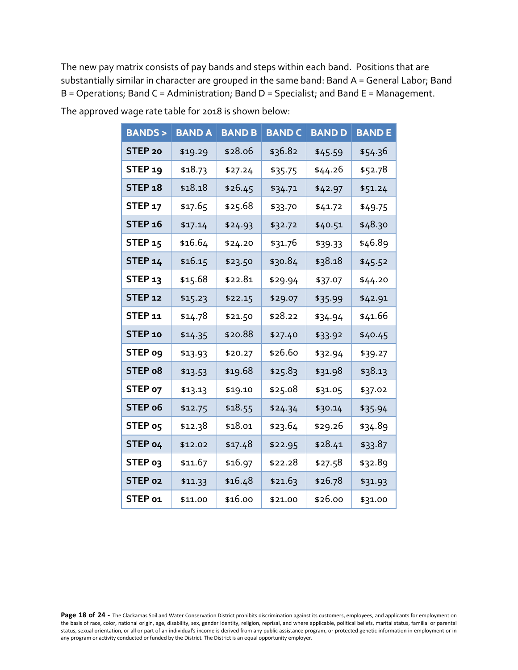The new pay matrix consists of pay bands and steps within each band. Positions that are substantially similar in character are grouped in the same band: Band A = General Labor; Band B = Operations; Band C = Administration; Band D = Specialist; and Band E = Management.

| <b>BANDS&gt;</b>   | <b>BAND A</b> | <b>BAND B</b> | <b>BAND C</b> | <b>BAND D</b> | <b>BANDE</b> |
|--------------------|---------------|---------------|---------------|---------------|--------------|
| STEP <sub>20</sub> | \$19.29       | \$28.06       | \$36.82       | \$45.59       | \$54.36      |
| STEP <sub>19</sub> | \$18.73       | \$27.24       | \$35.75       | \$44.26       | \$52.78      |
| STEP 18            | \$18.18       | \$26.45       | \$34.71       | \$42.97       | \$51.24      |
| STEP <sub>17</sub> | \$17.65       | \$25.68       | \$33.70       | \$41.72       | \$49.75      |
| STEP 16            | \$17.14       | \$24.93       | \$32.72       | \$40.51       | \$48.30      |
| <b>STEP 15</b>     | \$16.64       | \$24.20       | \$31.76       | \$39.33       | \$46.89      |
| STEP 14            | \$16.15       | \$23.50       | \$30.84       | \$38.18       | \$45.52      |
| STEP <sub>13</sub> | \$15.68       | \$22.81       | \$29.94       | \$37.07       | \$44.20      |
| <b>STEP 12</b>     | \$15.23       | \$22.15       | \$29.07       | \$35.99       | \$42.91      |
| STEP 11            | \$14.78       | \$21.50       | \$28.22       | \$34.94       | \$41.66      |
| STEP <sub>10</sub> | \$14.35       | \$20.88       | \$27.40       | \$33.92       | \$40.45      |
| STEP 09            | \$13.93       | \$20.27       | \$26.60       | \$32.94       | \$39.27      |
| STEP 08            | \$13.53       | \$19.68       | \$25.83       | \$31.98       | \$38.13      |
| STEP 07            | \$13.13       | \$19.10       | \$25.08       | \$31.05       | \$37.02      |
| STEP 06            | \$12.75       | \$18.55       | \$24.34       | \$30.14       | \$35.94      |
| STEP 05            | \$12.38       | \$18.01       | \$23.64       | \$29.26       | \$34.89      |
| STEP 04            | \$12.02       | \$17.48       | \$22.95       | \$28.41       | \$33.87      |
| STEP 03            | \$11.67       | \$16.97       | \$22.28       | \$27.58       | \$32.89      |
| STEP 02            | \$11.33       | \$16.48       | \$21.63       | \$26.78       | \$31.93      |
| STEP 01            | \$11.00       | \$16.00       | \$21.00       | \$26.00       | \$31.00      |

The approved wage rate table for 2018 is shown below:

Page 18 of 24 - The Clackamas Soil and Water Conservation District prohibits discrimination against its customers, employees, and applicants for employment on the basis of race, color, national origin, age, disability, sex, gender identity, religion, reprisal, and where applicable, political beliefs, marital status, familial or parental status, sexual orientation, or all or part of an individual's income is derived from any public assistance program, or protected genetic information in employment or in any program or activity conducted or funded by the District. The District is an equal opportunity employer.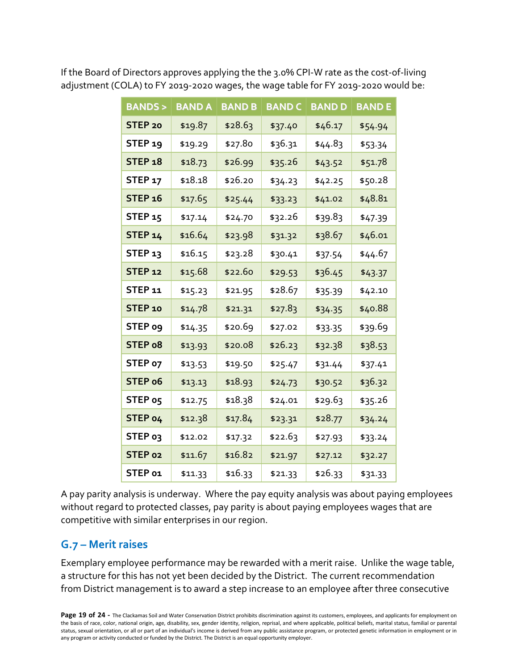| <b>BANDS&gt;</b> | <b>BAND A</b> | <b>BAND B</b> | <b>BAND C</b> | <b>BAND D</b> | <b>BANDE</b> |
|------------------|---------------|---------------|---------------|---------------|--------------|
| STEP 20          | \$19.87       | \$28.63       | \$37.40       | \$46.17       | \$54.94      |
| <b>STEP</b> 19   | \$19.29       | \$27.80       | \$36.31       | \$44.83       | \$53.34      |
| <b>STEP 18</b>   | \$18.73       | \$26.99       | \$35.26       | \$43.52       | \$51.78      |
| <b>STEP 17</b>   | \$18.18       | \$26.20       | \$34.23       | \$42.25       | \$50.28      |
| <b>STEP 16</b>   | \$17.65       | \$25.44       | \$33.23       | \$41.02       | \$48.81      |
| STEP 15          | \$17.14       | \$24.70       | \$32.26       | \$39.83       | \$47.39      |
| STEP 14          | \$16.64       | \$23.98       | \$31.32       | \$38.67       | \$46.01      |
| <b>STEP 13</b>   | \$16.15       | \$23.28       | \$30.41       | \$37.54       | \$44.67      |
| <b>STEP 12</b>   | \$15.68       | \$22.60       | \$29.53       | \$36.45       | \$43.37      |
| STEP 11          | \$15.23       | \$21.95       | \$28.67       | \$35.39       | \$42.10      |
| STEP 10          | \$14.78       | \$21.31       | \$27.83       | \$34.35       | \$40.88      |
| STEP 09          | \$14.35       | \$20.69       | \$27.02       | \$33.35       | \$39.69      |
| STEP 08          | \$13.93       | \$20.08       | \$26.23       | \$32.38       | \$38.53      |
| STEP 07          | \$13.53       | \$19.50       | \$25.47       | \$31.44       | \$37.41      |
| STEP 06          | \$13.13       | \$18.93       | \$24.73       | \$30.52       | \$36.32      |
| STEP 05          | \$12.75       | \$18.38       | \$24.01       | \$29.63       | \$35.26      |
| STEP 04          | \$12.38       | \$17.84       | \$23.31       | \$28.77       | \$34.24      |
| STEP 03          | \$12.02       | \$17.32       | \$22.63       | \$27.93       | \$33.24      |
| STEP 02          | \$11.67       | \$16.82       | \$21.97       | \$27.12       | \$32.27      |
| STEP 01          | \$11.33       | \$16.33       | \$21.33       | \$26.33       | \$31.33      |

If the Board of Directors approves applying the the 3.0% CPI-W rate as the cost-of-living adjustment (COLA) to FY 2019-2020 wages, the wage table for FY 2019-2020 would be:

A pay parity analysis is underway. Where the pay equity analysis was about paying employees without regard to protected classes, pay parity is about paying employees wages that are competitive with similar enterprises in our region.

## <span id="page-18-0"></span>**G.7 – Merit raises**

Exemplary employee performance may be rewarded with a merit raise. Unlike the wage table, a structure for this has not yet been decided by the District. The current recommendation from District management is to award a step increase to an employee after three consecutive

Page 19 of 24 - The Clackamas Soil and Water Conservation District prohibits discrimination against its customers, employees, and applicants for employment on the basis of race, color, national origin, age, disability, sex, gender identity, religion, reprisal, and where applicable, political beliefs, marital status, familial or parental status, sexual orientation, or all or part of an individual's income is derived from any public assistance program, or protected genetic information in employment or in any program or activity conducted or funded by the District. The District is an equal opportunity employer.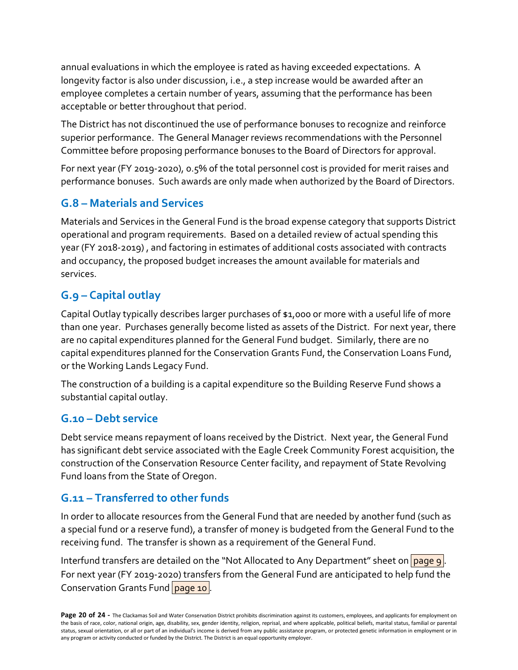annual evaluations in which the employee is rated as having exceeded expectations. A longevity factor is also under discussion, i.e., a step increase would be awarded after an employee completes a certain number of years, assuming that the performance has been acceptable or better throughout that period.

The District has not discontinued the use of performance bonuses to recognize and reinforce superior performance. The General Manager reviews recommendations with the Personnel Committee before proposing performance bonuses to the Board of Directors for approval.

For next year (FY 2019-2020), 0.5% of the total personnel cost is provided for merit raises and performance bonuses. Such awards are only made when authorized by the Board of Directors.

# <span id="page-19-0"></span>**G.8 – Materials and Services**

Materials and Services in the General Fund is the broad expense category that supports District operational and program requirements. Based on a detailed review of actual spending this year (FY 2018-2019) , and factoring in estimates of additional costs associated with contracts and occupancy, the proposed budget increases the amount available for materials and services.

# <span id="page-19-1"></span>**G.9 – Capital outlay**

Capital Outlay typically describes larger purchases of \$1,000 or more with a useful life of more than one year. Purchases generally become listed as assets of the District. For next year, there are no capital expenditures planned for the General Fund budget. Similarly, there are no capital expenditures planned for the Conservation Grants Fund, the Conservation Loans Fund, or the Working Lands Legacy Fund.

The construction of a building is a capital expenditure so the Building Reserve Fund shows a substantial capital outlay.

## <span id="page-19-2"></span>**G.10 – Debt service**

Debt service means repayment of loans received by the District. Next year, the General Fund has significant debt service associated with the Eagle Creek Community Forest acquisition, the construction of the Conservation Resource Center facility, and repayment of State Revolving Fund loans from the State of Oregon.

## <span id="page-19-3"></span>**G.11 – Transferred to other funds**

In order to allocate resources from the General Fund that are needed by another fund (such as a special fund or a reserve fund), a transfer of money is budgeted from the General Fund to the receiving fund. The transfer is shown as a requirement of the General Fund.

Interfund transfers are detailed on the "Not Allocated to Any Department" sheet on page 9. For next year (FY 2019-2020) transfers from the General Fund are anticipated to help fund the Conservation Grants Fund page 10.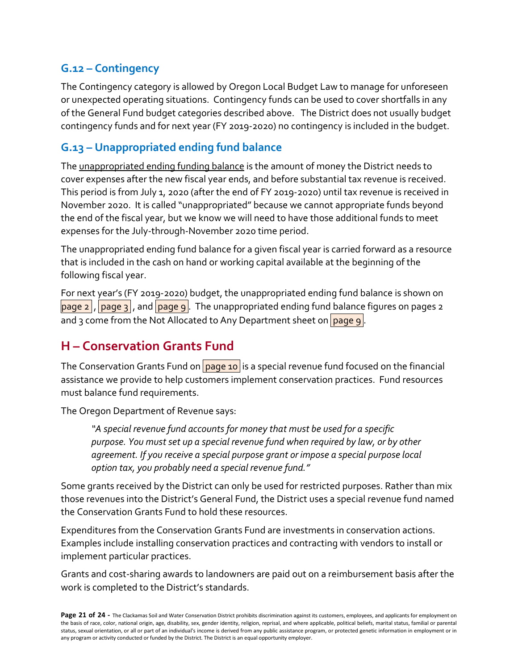# <span id="page-20-0"></span>**G.12 – Contingency**

The Contingency category is allowed by Oregon Local Budget Law to manage for unforeseen or unexpected operating situations. Contingency funds can be used to cover shortfalls in any of the General Fund budget categories described above. The District does not usually budget contingency funds and for next year (FY 2019-2020) no contingency is included in the budget.

# <span id="page-20-1"></span>**G.13 – Unappropriated ending fund balance**

The unappropriated ending funding balance is the amount of money the District needs to cover expenses after the new fiscal year ends, and before substantial tax revenue is received. This period is from July 1, 2020 (after the end of FY 2019-2020) until tax revenue is received in November 2020. It is called "unappropriated" because we cannot appropriate funds beyond the end of the fiscal year, but we know we will need to have those additional funds to meet expenses for the July-through-November 2020 time period.

The unappropriated ending fund balance for a given fiscal year is carried forward as a resource that is included in the cash on hand or working capital available at the beginning of the following fiscal year.

For next year's (FY 2019-2020) budget, the unappropriated ending fund balance is shown on  $\vert$ page 2,  $\vert$  page 3, and  $\vert$  page 9. The unappropriated ending fund balance figures on pages 2 and 3 come from the Not Allocated to Any Department sheet on  $\sqrt{\text{page 9}}$ .

# <span id="page-20-2"></span>**H – Conservation Grants Fund**

The Conservation Grants Fund on  $\sqrt{$  page 10 is a special revenue fund focused on the financial assistance we provide to help customers implement conservation practices. Fund resources must balance fund requirements.

The Oregon Department of Revenue says:

*"A special revenue fund accounts for money that must be used for a specific purpose. You must set up a special revenue fund when required by law, or by other agreement. If you receive a special purpose grant or impose a special purpose local option tax, you probably need a special revenue fund."*

Some grants received by the District can only be used for restricted purposes. Rather than mix those revenues into the District's General Fund, the District uses a special revenue fund named the Conservation Grants Fund to hold these resources.

Expenditures from the Conservation Grants Fund are investments in conservation actions. Examples include installing conservation practices and contracting with vendors to install or implement particular practices.

Grants and cost-sharing awards to landowners are paid out on a reimbursement basis after the work is completed to the District's standards.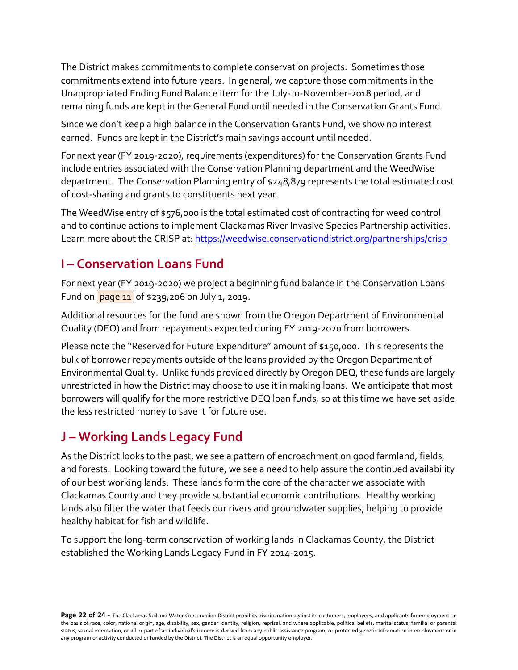The District makes commitments to complete conservation projects. Sometimes those commitments extend into future years. In general, we capture those commitments in the Unappropriated Ending Fund Balance item for the July-to-November-2018 period, and remaining funds are kept in the General Fund until needed in the Conservation Grants Fund.

Since we don't keep a high balance in the Conservation Grants Fund, we show no interest earned. Funds are kept in the District's main savings account until needed.

For next year (FY 2019-2020), requirements (expenditures) for the Conservation Grants Fund include entries associated with the Conservation Planning department and the WeedWise department. The Conservation Planning entry of \$248,879 represents the total estimated cost of cost-sharing and grants to constituents next year.

The WeedWise entry of \$576,000 is the total estimated cost of contracting for weed control and to continue actions to implement Clackamas River Invasive Species Partnership activities. Learn more about the CRISP at[: https://weedwise.conservationdistrict.org/partnerships/crisp](https://weedwise.conservationdistrict.org/partnerships/crisp)

# <span id="page-21-0"></span>**I – Conservation Loans Fund**

For next year (FY 2019-2020) we project a beginning fund balance in the Conservation Loans Fund on  $\sqrt{p_{\text{age 11}}}$  of \$239,206 on July 1, 2019.

Additional resources for the fund are shown from the Oregon Department of Environmental Quality (DEQ) and from repayments expected during FY 2019-2020 from borrowers.

Please note the "Reserved for Future Expenditure" amount of \$150,000. This represents the bulk of borrower repayments outside of the loans provided by the Oregon Department of Environmental Quality. Unlike funds provided directly by Oregon DEQ, these funds are largely unrestricted in how the District may choose to use it in making loans. We anticipate that most borrowers will qualify for the more restrictive DEQ loan funds, so at this time we have set aside the less restricted money to save it for future use.

# <span id="page-21-1"></span>**J – Working Lands Legacy Fund**

As the District looks to the past, we see a pattern of encroachment on good farmland, fields, and forests. Looking toward the future, we see a need to help assure the continued availability of our best working lands. These lands form the core of the character we associate with Clackamas County and they provide substantial economic contributions. Healthy working lands also filter the water that feeds our rivers and groundwater supplies, helping to provide healthy habitat for fish and wildlife.

To support the long-term conservation of working lands in Clackamas County, the District established the Working Lands Legacy Fund in FY 2014-2015.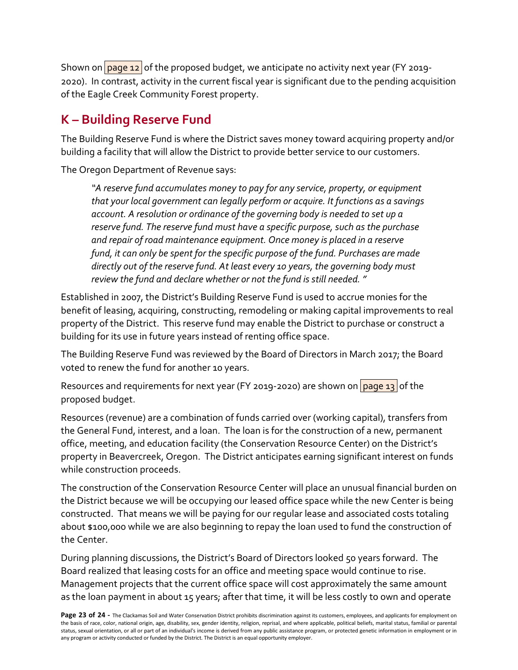Shown on  $\frac{1}{2}$  of the proposed budget, we anticipate no activity next year (FY 2019-2020). In contrast, activity in the current fiscal year is significant due to the pending acquisition of the Eagle Creek Community Forest property.

# <span id="page-22-0"></span>**K – Building Reserve Fund**

The Building Reserve Fund is where the District saves money toward acquiring property and/or building a facility that will allow the District to provide better service to our customers.

The Oregon Department of Revenue says:

*"A reserve fund accumulates money to pay for any service, property, or equipment that your local government can legally perform or acquire. It functions as a savings account. A resolution or ordinance of the governing body is needed to set up a reserve fund. The reserve fund must have a specific purpose, such as the purchase and repair of road maintenance equipment. Once money is placed in a reserve fund, it can only be spent for the specific purpose of the fund. Purchases are made directly out of the reserve fund. At least every 10 years, the governing body must review the fund and declare whether or not the fund is still needed."*

Established in 2007, the District's Building Reserve Fund is used to accrue monies for the benefit of leasing, acquiring, constructing, remodeling or making capital improvements to real property of the District. This reserve fund may enable the District to purchase or construct a building for its use in future years instead of renting office space.

The Building Reserve Fund was reviewed by the Board of Directors in March 2017; the Board voted to renew the fund for another 10 years.

Resources and requirements for next year (FY 2019-2020) are shown on  $\log q_1$  of the proposed budget.

Resources (revenue) are a combination of funds carried over (working capital), transfers from the General Fund, interest, and a loan. The loan is for the construction of a new, permanent office, meeting, and education facility (the Conservation Resource Center) on the District's property in Beavercreek, Oregon. The District anticipates earning significant interest on funds while construction proceeds.

The construction of the Conservation Resource Center will place an unusual financial burden on the District because we will be occupying our leased office space while the new Center is being constructed. That means we will be paying for our regular lease and associated costs totaling about \$100,000 while we are also beginning to repay the loan used to fund the construction of the Center.

During planning discussions, the District's Board of Directors looked 50 years forward. The Board realized that leasing costs for an office and meeting space would continue to rise. Management projects that the current office space will cost approximately the same amount as the loan payment in about 15 years; after that time, it will be less costly to own and operate